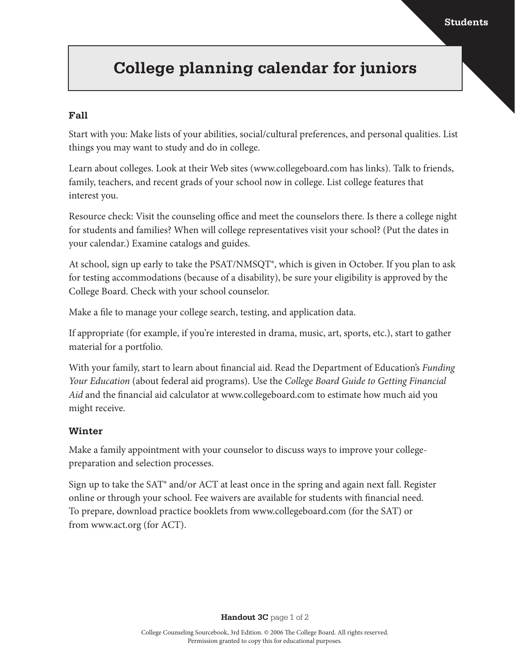## **College planning calendar for juniors**

### **Fall**

Start with you: Make lists of your abilities, social/cultural preferences, and personal qualities. List things you may want to study and do in college.

Learn about colleges. Look at their Web sites (www.collegeboard.com has links). Talk to friends, family, teachers, and recent grads of your school now in college. List college features that interest you.

Resource check: Visit the counseling office and meet the counselors there. Is there a college night for students and families? When will college representatives visit your school? (Put the dates in your calendar.) Examine catalogs and guides.

At school, sign up early to take the PSAT/NMSQT®, which is given in October. If you plan to ask for testing accommodations (because of a disability), be sure your eligibility is approved by the College Board. Check with your school counselor.

Make a file to manage your college search, testing, and application data.

If appropriate (for example, if you're interested in drama, music, art, sports, etc.), start to gather material for a portfolio.

With your family, start to learn about financial aid. Read the Department of Education's *Funding Your Education* (about federal aid programs). Use the *College Board Guide to Getting Financial Aid* and the financial aid calculator at www.collegeboard.com to estimate how much aid you might receive.

### **Winter**

Make a family appointment with your counselor to discuss ways to improve your collegepreparation and selection processes.

Sign up to take the SAT® and/or ACT at least once in the spring and again next fall. Register online or through your school. Fee waivers are available for students with financial need. To prepare, download practice booklets from www.collegeboard.com (for the SAT) or from www.act.org (for ACT).

**Handout 3C** page 1 of 2